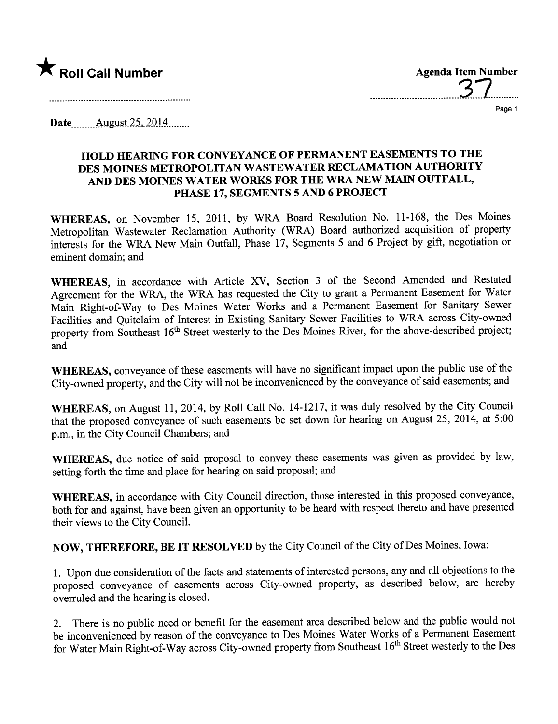

..................................3.7...........

Page 1

Date......... Allgllst- ~~,. 2.0. L.4........

# HOLD HEARING FOR CONVEYANCE OF PERMANENT EASEMENTS TO THE DES MOINES METROPOLITAN WASTEWATER RECLAMATION AUTHORITY AND DES MOINES WATER WORKS FOR THE WRA NEW MAIN OUTFALL, PHASE 17, SEGMENTS 5 AND 6 PROJECT

WHEREAS, on November 15, 2011, by WRA Board Resolution No. 11-168, the Des Moines Metropolitan Wastewater Reclamation Authority (WRA) Board authorized acquisition of property interests for the WRA New Main Outfall, Phase 17, Segments 5 and 6 Project by gift, negotiation or eminent domain; and

WHEREAS, in accordance with Article XV, Section 3 of the Second Amended and Restated Agreement for the WRA, the WRA has requested the City to grant a Permanent Easement for Water Main Right-of-Way to Des Moines Water Works and a Permanent Easement for Sanitary Sewer Facilities and Quitclaim of Interest in Existing Sanitary Sewer Facilities to WRA across City-owned property from Southeast 16<sup>th</sup> Street westerly to the Des Moines River, for the above-described project; and

WHEREAS, conveyance of these easements will have no significant impact upon the public use of the City-owned property, and the City wil not be inconvenienced by the conveyance of said easements; and

WHEREAS, on August 11, 2014, by Roll Call No. 14-1217, it was duly resolved by the City Council that the proposed conveyance of such easements be set down for hearing on August 25, 2014, at 5:00 p.m., in the City Council Chambers; and

WHEREAS, due notice of said proposal to convey these easements was given as provided by law, setting forth the time and place for hearing on said proposal; and

WHEREAS, in accordance with City Council direction, those interested in this proposed conveyance, both for and against, have been given an opportunity to be heard with respect thereto and have presented their views to the City CounciL.

NOW, THEREFORE, BE IT RESOLVED by the City Council of the City of Des Moines, Iowa:

1. Upon due consideration of the facts and statements of interested persons, any and all objections to the proposed conveyance of easements across City-owned property, as described below, are hereby overruled and the hearing is closed.

2. There is no public need or benefit for the easement area described below and the public would not be inconvenienced by reason of the conveyance to Des Moines Water Works of a Permanent Easement for Water Main Right-of-Way across City-owned property from Southeast 16<sup>th</sup> Street westerly to the Des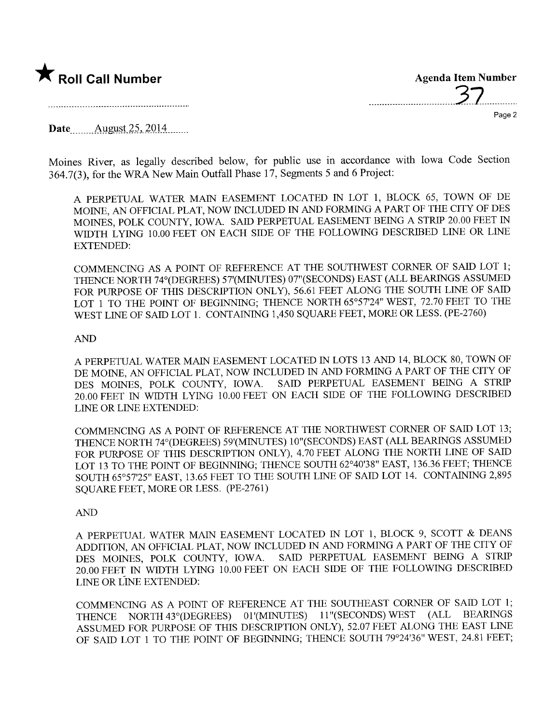

 $\bigstar$  Roll Call Number  $\bigstar$  Roll Call Number \_\_.......\_\_\_.....................3.7.............

Page 2

Date.. \_\_.. \_\_. Allgt.st-~~,. .2.o.4. .m...

Moines River, as legally described below, for public use in accordance with Iowa Code Section 364.7(3), for the WRA New Main Outfall Phase 17, Segments 5 and 6 Project:

A PERPETUAL WATER MAIN EASEMENT LOCATED IN LOT 1, BLOCK 65, TOWN OF DE MOINE, AN OFFICIAL PLAT, NOW INCLUDED IN AND FORMING A PART OF THE CITY OF DES MOINES, POLK COUNTY, IOWA. SAID PERPETUAL EASEMENT BEING A STRIP 20.00 FEET IN WIDTH LYING 10.00 FEET ON EACH SIDE OF THE FOLLOWING DESCRIBED LINE OR LINE EXTENDED:

COMMENCING AS A POINT OF REFERENCE AT THE SOUTHWST CORNER OF SAID LOT 1; THENCE NORTH 74° (DEGREES) 57' (MINUTES) 07" (SECONDS) EAST (ALL BEARINGS ASSUMED FOR PURPOSE OF THIS DESCRIPTION ONLY), 56.61 FEET ALONG THE SOUTH LINE OF SAID LOT 1 TO THE POINT OF BEGINNING; THENCE NORTH 65°57'24" WEST, 72.70 FEET TO THE WEST LINE OF SAID LOT 1. CONTAINING 1,450 SQUARE FEET, MORE OR LESS. (PE-2760)

### AN

A PERPETUAL WATER MAIN EASEMENT LOCATED IN LOTS 13 AND 14, BLOCK 80, TOWN OF DE MOINE, AN OFFICIAL PLAT, NOW INCLUDED IN AND FORMING A PART OF THE CITY OF DES MOINES. POLK COUNTY, IOWA. SAID PERPETUAL EASEMENT BEING A STRIP DES MOINES, POLK COUNTY, IOWA. 20.00 FEET IN WIDTH LYING 10.00 FEET ON EACH SIDE OF THE FOLLOWING DESCRIED LINE OR LINE EXTENDED:

COMMENCING AS A POINT OF REFERENCE AT THE NORTHWEST CORNER OF SAID LOT 13; THENCE NORTH 74° (DEGREES) 59' (MINUTES) 10" (SECONDS) EAST (ALL BEARINGS ASSUMED FOR PURPOSE OF THIS DESCRIPTION ONLY), 4.70 FEET ALONG THE NORTH LINE OF SAID LOT 13 TO THE POINT OF BEGINNING; THENCE SOUTH 62°40'38" EAST, 136.36 FEET; THENCE SOUTH 65°57'25" EAST, 13.65 FEET TO THE SOUTH LINE OF SAID LOT 14. CONTAINING 2,895 SOUARE FEET, MORE OR LESS. (PE-2761)

# AN

A PERPETUAL WATER MAIN EASEMENT LOCATED IN LOT 1, BLOCK 9, SCOTT & DEANS ADDITION, AN OFFICIAL PLAT, NOW INCLUDED IN AND FORMING A PART OF THE CITY OF DES MOINES. POLK COUNTY, IOWA. SAID PERPETUAL EASEMENT BEING A STRIP DES MOINES, POLK COUNTY, IOWA. 20.00 FEET IN WIDTH LYING 10.00 FEET ON EACH SIDE OF THE FOLLOWING DESCRIBED LINE OR LINE EXTENDED:

COMMENCING AS A POINT OF REFERENCE AT THE SOUTHEAST CORNER OF SAID LOT 1;<br>THENCE NORTH 43° (DEGREES) 01' (MINUTES) 11" (SECONDS) WEST (ALL BEARINGS THENCE NORTH 43° (DEGREES) 01' (MINUTES) 11" (SECONDS) WEST ASSUMED FOR PURPOSE OF THIS DESCRIPTION ONLY), 52.07 FEET ALONG THE EAST LINE OF SAID LOT 1 TO THE POINT OF BEGINING; THENCE SOUTH 79°24'36" WEST, 24.81 FEET;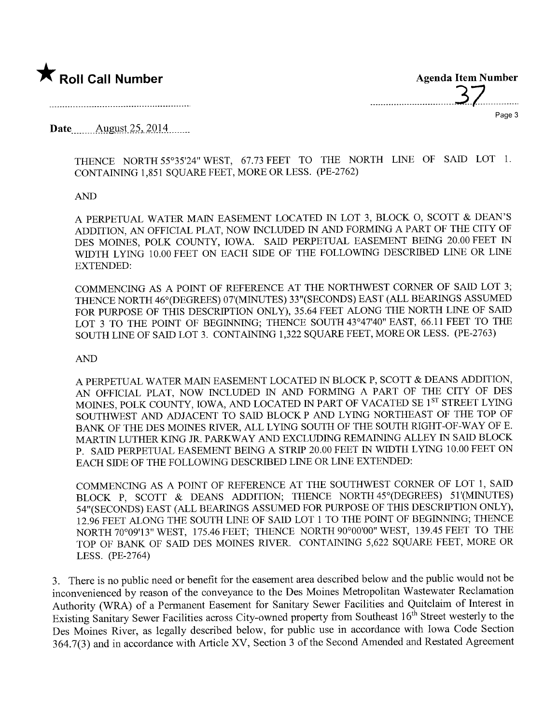



Date......... Allgt.st- ~.s,. .2.014........

THENCE NORTH 55°35'24" WEST, 67.73 FEET TO THE NORTH LINE OF SAID LOT 1. CONTAINING 1,851 SQUARE FEET, MORE OR LESS. (PE-2762)

# AN

A PERPETUAL WATER MAIN EASEMENT LOCATED IN LOT 3, BLOCK O, SCOTT & DEAN'S ADDITION, AN OFFICIAL PLAT, NOW INCLUDED IN AND FORMING A PART OF THE CITY OF DES MOINS, POLK COUNTY, IOWA. SAID PERPETUAL EASEMENT BEING 20.00 FEET IN WIDTH LYING 10.00 FEET ON EACH SIDE OF THE FOLLOWING DESCRIBED LINE OR LINE EXTENDED:

COMMENCING AS A POINT OF REFERENCE AT THE NORTHWEST CORNER OF SAID LOT 3: THENCE NORTH 46° (DEGREES) 07'(MINTES) 33"(SECONDS) EAST (ALL BEARINGS ASSUMED FOR PURPOSE OF THIS DESCRIPTION ONLY), 35.64 FEET ALONG THE NORTH LINE OF SAID LOT 3 TO THE POINT OF BEGINNING; THENCE SOUTH 43°47'40" EAST, 66.11 FEET TO THE SOUTH LINE OF SAID LOT 3. CONTAINING 1,322 SQUARE FEET, MORE OR LESS. (PE-2763)

# AN

A PERPETUAL WATER MAIN EASEMENT LOCATED IN BLOCK P, SCOTT & DEANS ADDITION, AN OFFICIAL PLAT, NOW INCLUDED IN AND FORMING A PART OF THE CITY OF DES MOINES, POLK COUNTY, IOWA, AND LOCATED IN PART OF VACATED SE 1ST STREET LYING SOUTHWEST AND ADJACENT TO SAID BLOCK P AND LYING NORTHEAST OF THE TOP OF BANK OF THE DES MOINES RIVER, ALL LYING SOUTH OF THE SOUTH RIGHT-OF-WAY OF E. MARTIN LUTHER KING JR. PARKWAY AND EXCLUDING REMAINING ALLEY IN SAID BLOCK P. SAID PERPETUAL EASEMENT BEING A STRIP 20.00 FEET IN WIDTH LYING 10.00 FEET ON EACH SIDE OF THE FOLLOWING DESCRIBED LINE OR LINE EXTENDED:

COMMENCING AS A POINT OF REFERENCE AT THE SOUTHWEST CORNER OF LOT 1, SAID BLOCK P, SCOTT & DEANS ADDITION; THENCE NORTH 45°(DEGREES) 51'(MINUTES) 54"(SECONDS) EAST (ALL BEARINGS ASSUMED FOR PURPOSE OF THIS DESCRIPTION ONLY), 12.96 FEET ALONG THE SOUTH LINE OF SAID LOT 1 TO THE POINT OF BEGINING; THENCE NORTH 70°09'13" WEST, 175.46 FEET; THENCE NORTH 90°00'00" WEST, 139.45 FEET TO THE TOP OF BANK OF SAID DES MOINES RIVER. CONTAINING 5,622 SQUARE FEET, MORE OR LESS. (PE-2764)

3. There is no public need or benefit for the easement area described below and the public would not be inconvenienced by reason of the conveyance to the Des Moines Metropolitan Wastewater Reclamation Authority (WRA) of a Permanent Easement for Sanitary Sewer Facilities and Quitclaim of Interest in Existing Sanitary Sewer Facilities across City-owned property from Southeast 16<sup>th</sup> Street westerly to the Des Moines River, as legally described below, for public use in accordance with Iowa Code Section 364.7(3) and in accordance with Article XV, Section 3 of the Second Amended and Restated Agreement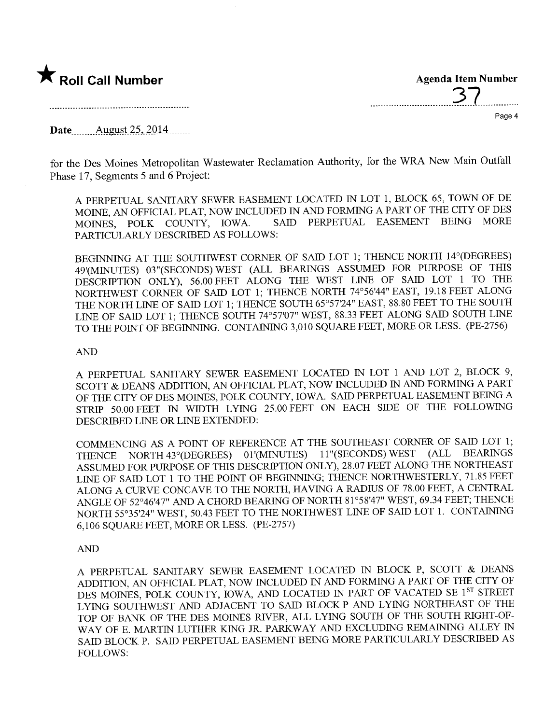

**Agenda Item Number** 

Page 4

Date August 25, 2014

for the Des Moines Metropolitan Wastewater Reclamation Authority, for the WRA New Main Outfall Phase 17. Segments 5 and 6 Project:

A PERPETUAL SANITARY SEWER EASEMENT LOCATED IN LOT 1, BLOCK 65, TOWN OF DE MOINE, AN OFFICIAL PLAT, NOW INCLUDED IN AND FORMING A PART OF THE CITY OF DES SAID PERPETUAL EASEMENT BEING MORE MOINES. POLK COUNTY, IOWA. PARTICULARLY DESCRIBED AS FOLLOWS:

BEGINNING AT THE SOUTHWEST CORNER OF SAID LOT 1; THENCE NORTH 14°(DEGREES) 49'(MINUTES) 03"(SECONDS) WEST (ALL BEARINGS ASSUMED FOR PURPOSE OF THIS DESCRIPTION ONLY), 56.00 FEET ALONG THE WEST LINE OF SAID LOT 1 TO THE NORTHWEST CORNER OF SAID LOT 1; THENCE NORTH 74°56'44" EAST, 19.18 FEET ALONG THE NORTH LINE OF SAID LOT 1; THENCE SOUTH 65°57'24" EAST, 88.80 FEET TO THE SOUTH LINE OF SAID LOT 1; THENCE SOUTH 74°57'07" WEST, 88.33 FEET ALONG SAID SOUTH LINE TO THE POINT OF BEGINNING. CONTAINING 3,010 SQUARE FEET, MORE OR LESS. (PE-2756)

### **AND**

A PERPETUAL SANITARY SEWER EASEMENT LOCATED IN LOT 1 AND LOT 2, BLOCK 9, SCOTT & DEANS ADDITION, AN OFFICIAL PLAT, NOW INCLUDED IN AND FORMING A PART OF THE CITY OF DES MOINES, POLK COUNTY, IOWA. SAID PERPETUAL EASEMENT BEING A STRIP 50.00 FEET IN WIDTH LYING 25.00 FEET ON EACH SIDE OF THE FOLLOWING DESCRIBED LINE OR LINE EXTENDED:

COMMENCING AS A POINT OF REFERENCE AT THE SOUTHEAST CORNER OF SAID LOT 1; (ALL BEARINGS THENCE NORTH 43° (DEGREES) 01' (MINUTES) 11" (SECONDS) WEST ASSUMED FOR PURPOSE OF THIS DESCRIPTION ONLY), 28.07 FEET ALONG THE NORTHEAST LINE OF SAID LOT 1 TO THE POINT OF BEGINNING; THENCE NORTHWESTERLY, 71.85 FEET ALONG A CURVE CONCAVE TO THE NORTH, HAVING A RADIUS OF 78.00 FEET, A CENTRAL ANGLE OF 52°46'47" AND A CHORD BEARING OF NORTH 81°58'47" WEST, 69.34 FEET; THENCE NORTH 55°35'24" WEST, 50.43 FEET TO THE NORTHWEST LINE OF SAID LOT 1. CONTAINING 6,106 SQUARE FEET, MORE OR LESS. (PE-2757)

#### **AND**

A PERPETUAL SANITARY SEWER EASEMENT LOCATED IN BLOCK P, SCOTT & DEANS ADDITION, AN OFFICIAL PLAT, NOW INCLUDED IN AND FORMING A PART OF THE CITY OF DES MOINES, POLK COUNTY, IOWA, AND LOCATED IN PART OF VACATED SE 1ST STREET LYING SOUTHWEST AND ADJACENT TO SAID BLOCK P AND LYING NORTHEAST OF THE TOP OF BANK OF THE DES MOINES RIVER, ALL LYING SOUTH OF THE SOUTH RIGHT-OF-WAY OF E. MARTIN LUTHER KING JR. PARKWAY AND EXCLUDING REMAINING ALLEY IN SAID BLOCK P. SAID PERPETUAL EASEMENT BEING MORE PARTICULARLY DESCRIBED AS **FOLLOWS:**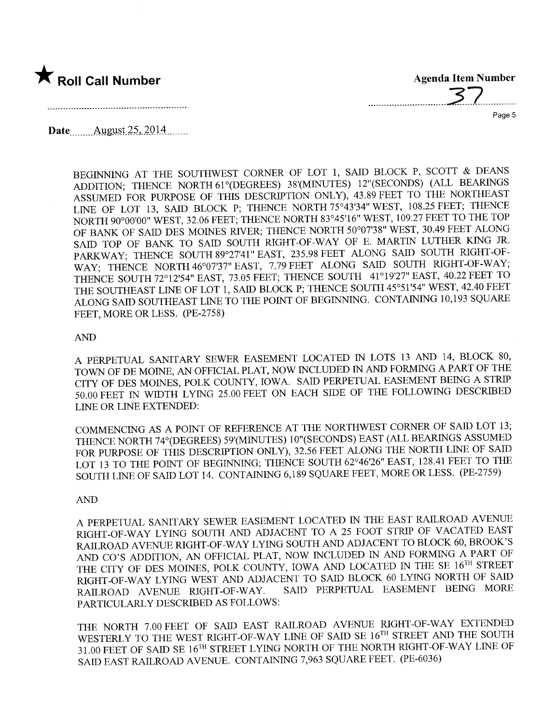

..............................3..7.............

Page 5

Date......... Allgt.st- ~~,. .2.0. L.4........

BEGINNING AT THE SOUTHWEST CORNER OF LOT 1, SAID BLOCK P, SCOTT & DEANS ADDITION: THENCE NORTH 61°(DEGREES) 38'(MINUTES) 12"(SECONDS) (ALL BEARINGS ASSUMED FOR PURPOSE OF THIS DESCRIPTION ONLY), 43.89 FEET TO THE NORTHEAST LINE OF LOT 13, SAID BLOCK P; THENCE NORTH 75°43'34" WEST, 108.25 FEET; THENCE NORTH 90°00'00" WEST, 32.06 FEET; THENCE NORTH 83°45'16" WEST, 109.27 FEET TO THE TOP OF BANK OF SAID DES MOINES RIVER; THENCE NORTH 50°07'38" WEST, 30.49 FEET ALONG SAID TOP OF BANK TO SAID SOUTH RIGHT-OF-WAY OF E. MARTIN LUTHER KING JR. PARWAY; THENCE SOUTH 89°27'41" EAST, 235.98 FEET ALONG SAID SOUTH RIGHT-OF-WAY; THENCE NORTH 46°07'37" EAST, 7.79 FEET ALONG SAID SOUTH RIGHT-OF-WAY; THENCE SOUTH 72°12'54" EAST, 73.05 FEET; THENCE SOUTH 41°19'27" EAST, 40.22 FEET TO THE SOUTHEAST LINE OF LOT 1, SAID BLOCK P; THENCE SOUTH 45°51'54" WEST, 42.40 FEET ALONG SAID SOUTHEAST LINE TO THE POINT OF BEGINNING. CONTAINING 10,193 SQUARE FEET, MORE OR LESS. (PE-2758)

AN

A PERPETUAL SANITARY SEWER EASEMENT LOCATED IN LOTS 13 AND 14, BLOCK 80, TOWN OF DE MOINE, AN OFFICIAL PLAT, NOW INCLUDED IN AND FORMING A PART OF THE CITY OF DES MOINES, POLK COUNTY, IOWA. SAID PERPETUAL EASEMENT BEING A STRIP 50.00 FEET IN WIDTH LYING 25.00 FEET ON EACH SIDE OF THE FOLLOWIG DESCRIBED LINE OR LINE EXTENDED:

COMMENCING AS A POINT OF REFERENCE AT THE NORTHWEST CORNER OF SAID LOT 13; THENCE NORTH 74°(DEGREES) 59'(MINUTES) 10"(SECONDS) EAST (ALL BEARINGS ASSUMED FOR PURPOSE OF THIS DESCRIPTION ONLY), 32.56 FEET ALONG THE NORTH LINE OF SAID LOT 13 TO THE POINT OF BEGINNING; THENCE SOUTH 62°46'26" EAST, 128.41 FEET TO THE SOUTH LINE OF SAID LOT 14. CONTAINING 6,189 SQUARE FEET, MORE OR LESS. (PE-2759)

AN

A PERPETUAL SANITARY SEWER EASEMENT LOCATED IN THE EAST RAILROAD AVENUE RIGHT-OF-WAY LYING SOUTH AND ADJACENT TO A 25 FOOT STRIP OF VACATED EAST RAILROAD AVENUE RIGHT-OF-WAY LYING SOUTH AND ADJACENT TO BLOCK 60, BROOK'S AND CO'S ADDITION, AN OFFICIAL PLAT, NOW INCLUDED IN AND FORMING A PART OF THE CITY OF DES MOINES, POLK COUNTY, IOWA AND LOCATED IN THE SE 16<sup>TH</sup> STREET RIGHT-OF-WAY LYING WEST AND ADJACENT TO SAID BLOCK 60 LYING NORTH OF SAID RAILROAD AVENUE RIGHT-OF-WAY. SAID PERPETUAL EASEMENT BEING MORE RAILROAD AVENUE RIGHT-OF-WAY. PARTICULARLY DESCRIBED AS FOLLOWS:

THE NORTH 7.00 FEET OF SAID EAST RAILROAD AVENUE RIGHT-OF-WAY EXTENDED WESTERLY TO THE WEST RIGHT-OF-WAY LINE OF SAID SE 16<sup>TH</sup> STREET AND THE SOUTH 31.00 FEET OF SAID SE  $16^{TH}$  STREET LYING NORTH OF THE NORTH RIGHT-OF-WAY LINE OF SAID EAST RAILROAD AVENUE. CONTAINING 7,963 SQUARE FEET. (PE-6036)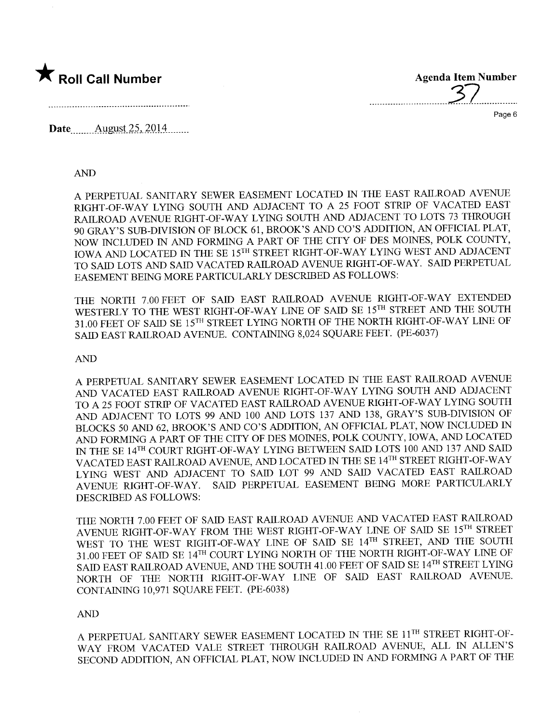

..............................3.7...............

Page 6

Date.. m.... Allgt.st- ~.s,. 2.0. l...... m

#### AN

A PERPETUAL SANITARY SEWER EASEMENT LOCATED IN THE EAST RALROAD AVENU RIGHT-OF-WAY LYING SOUTH AND ADJACENT TO A 25 FOOT STRIP OF VACATED EAST RAILROAD AVENUE RIGHT-OF-WAY LYING SOUTH AND ADJACENT TO LOTS 73 THROUGH 90 GRAY'S SUB-DIVISION OF BLOCK 61, BROOK'S AND CO'S ADDITION, AN OFFICIAL PLAT, NOW INCLUDED IN AND FORMING A PART OF THE CITY OF DES MOINES, POLK COUNTY, IOWA AND LOCATED IN THE SE 15TH STREET RIGHT-OF-WAY LYING WEST AND ADJACENT TO SAID LOTS AND SAID VACATED RAILROAD AVENUE RIGHT-OF-WAY. SAID PERPETUAL EASEMENT BEING MORE PARTICULARLY DESCRIBED AS FOLLOWS:

THE NORTH 7.00 FEET OF SAID EAST RAILROAD AVENUE RIGHT-OF-WAY EXTENDED WESTERLY TO THE WEST RIGHT-OF-WAY LINE OF SAID SE 15TH STREET AND THE SOUTH 31.00 FEET OF SAID SE 15TH STREET LYING NORTH OF THE NORTH RIGHT-OF-WAY LINE OF SAID EAST RAILROAD AVENUE. CONTAINING 8,024 SQUARE FEET. (PE-6037)

# AN

A PERPETUAL SANITARY SEWER EASEMENT LOCATED IN THE EAST RAILROAD AVENUE AND VACATED EAST RAILROAD AVENUE RIGHT-OF-WAY LYING SOUTH AND ADJACENT TO A 25 FOOT STRIP OF VACATED EAST RAILROAD AVENUE RIGHT-OF-WAY LYING SOUTH AND ADJACENT TO LOTS 99 AND 100 AND LOTS 137 AND 138, GRAY'S SUB-DIVISION OF BLOCKS 50 AND 62, BROOK'S AND CO'S ADDITION, AN OFFICIAL PLAT, NOW INCLUDED IN AND FORMING A PART OF THE CITY OF DES MOINES, POLK COUNTY, IOWA, AND LOCATED IN THE SE 14<sup>TH</sup> COURT RIGHT-OF-WAY LYING BETWEEN SAID LOTS 100 AND 137 AND SAID VACATED EAST RAILROAD AVENUE, AND LOCATED IN THE SE 14TH STREET RIGHT-OF-WAY LYING WEST AND ADJACENT TO SAID LOT 99 AND SAID VACATED EAST RAILROAD AVENUE RIGHT-OF-WAY. SAID PERPETUAL EASEMENT BEING MORE PARTICULARLY DESCRIED AS FOLLOWS:

THE NORTH 7.00 FEET OF SAID EAST RAILROAD AVENUE AND VACATED EAST RAILROAD AVENUE RIGHT-OF-WAY FROM THE WEST RIGHT-OF-WAY LINE OF SAID SE  $15^{TH}$  STREET WEST TO THE WEST RIGHT-OF-WAY LINE OF SAID SE 14TH STREET, AND THE SOUTH 31.00 FEET OF SAID SE 14<sup>TH</sup> COURT LYING NORTH OF THE NORTH RIGHT-OF-WAY LINE OF SAID EAST RAILROAD AVENUE, AND THE SOUTH 41.00 FEET OF SAID SE 14<sup>TH</sup> STREET LYING NORTH OF THE NORTH RIGHT-OF-WAY LINE OF SAID EAST RAILROAD AVENUE. CONTAINING 10,971 SQUARE FEET. (PE-6038)

# AN

A PERPETUAL SANITARY SEWER EASEMENT LOCATED IN THE SE 11TH STREET RIGHT-OF-WAY FROM VACATED VALE STREET THROUGH RAILROAD AVENUE, ALL IN ALLEN'S SECOND ADDITION, AN OFFICIAL PLAT, NOW INCLUDED IN AND FORMING A PART OF THE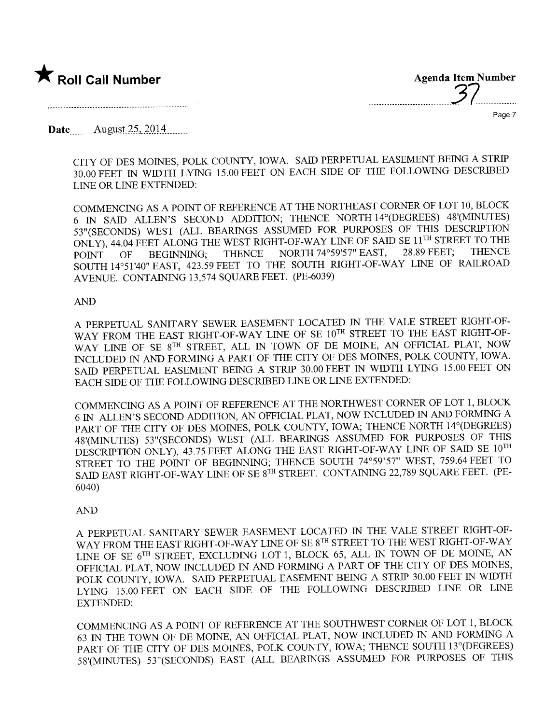



Page 7

Date.. \_\_.... A llgt.st- ~.s,. .2.014.. \_\_..\_\_

CITY OF DES MOINES, POLK COUNTY, IOWA. SAID PERPETUAL EASEMENT BEING A STRIP 30.00 FEET IN WIDTH LYING 15.00 FEET ON EACH SIDE OF THE FOLLOWING DESCRIBED LINE OR LINE EXTENDED:

COMMENCING AS A POINT OF REFERENCE AT THE NORTHEAST CORNER OF LOT 10, BLOCK 6 IN SAID ALLEN'S SECOND ADDITION; THENCE NORTH 14°(DEGREES) 48'(MINUTES) 53"(SECONDS) WEST (ALL BEARINGS ASSUMED FOR PURPOSES OF THIS DESCRIPTION ONLY), 44.04 FEET ALONG THE WEST RIGHT-OF-WAY LINE OF SAID SE 11<sup>TH</sup> STREET TO THE POINT OF BEGINNING; THENCE NORTH 74°59'57" EAST, 28.89 FEET; THENCE POINT OF BEGINNING; THENCE NORTH 74°59'57" EAST, 28.89 FEET; THENCI SOUTH 14°51'40" EAST, 423.59 FEET TO THE SOUTH RIGHT-OF-WAY LINE OF RAILROAL AVENUE. CONTAINING 13,574 SQUARE FEET. (PE-6039)

#### AN

A PERPETUAL SANITARY SEWER EASEMENT LOCATED IN THE VALE STREET RIGHT-OF-WAY FROM THE EAST RIGHT-OF-WAY LINE OF SE 10TH STREET TO THE EAST RIGHT-OF-WAY LINE OF SE 8<sup>TH</sup> STREET, ALL IN TOWN OF DE MOINE, AN OFFICIAL PLAT, NOW INCLUDED IN AND FORMING A PART OF THE CITY OF DES MOINES, POLK COUNTY, IOWA. SAID PERPETUAL EASEMENT BEING A STRIP 30.00 FEET IN WIDTH LYING 15.00 FEET ON EACH SIDE OF THE FOLLOWING DESCRIBED LINE OR LINE EXTENDED:

COMMENCING AS A POINT OF REFERENCE AT THE NORTHWEST CORNER OF LOT 1, BLOCK 6 IN ALLEN'S SECOND ADDITION, AN OFFICIAL PLAT, NOW INCLUDED IN AND FORMING A PART OF THE CITY OF DES MOINS, POLK COUNTY, IOWA; THENCE NORTH 14°(DEGREES) 48'(MINUTES) 53"(SECONDS) WEST (ALL BEARINGS ASSUMED FOR PURPOSES OF THIS DESCRIPTION ONLY), 43.75 FEET ALONG THE EAST RIGHT-OF-WAY LINE OF SAID SE  $10^{TH}$ STREET TO THE POINT OF BEGINNING; THENCE SOUTH 74°59'57" WEST, 759.64 FEET TO SAID EAST RIGHT-OF-WAY LINE OF SE  $8^{TH}$  STREET. CONTAINING 22,789 SQUARE FEET. (PE-6040)

#### AN

A PERPETUAL SANITARY SEWER EASEMENT LOCATED IN THE VALE STREET RIGHT-OF-WAY FROM THE EAST RIGHT-OF-WAY LINE OF SE 8TH STREET TO THE WEST RIGHT-OF-WAY LINE OF SE 6<sup>TH</sup> STREET, EXCLUDING LOT 1, BLOCK 65, ALL IN TOWN OF DE MOINE, AN OFFICIAL PLAT, NOW INCLUDED IN AND FORMING A PART OF THE CITY OF DES MOINES, POLK COUNTY, IOWA. SAID PERPETUAL EASEMENT BEING A STRIP 30.00 FEET IN WIDTH LYING 15.00 FEET ON EACH SIDE OF THE FOLLOWING DESCRIBED LINE OR LINE EXTENDED:

COMMENCING AS A POINT OF REFERENCE AT THE SOUTHWEST CORNER OF LOT 1, BLOCK 63 IN THE TOWN OF DE MOINE, AN OFFICIAL PLAT, NOW INCLUDED IN AND FORMING A PART OF THE CITY OF DES MOINES, POLK COUNTY, IOWA; THENCE SOUTH 13°(DEGREES) 58 '(MINTES) 53"(SECONDS) EAST (ALL BEARINGS ASSUMED FOR PUROSES OF THIS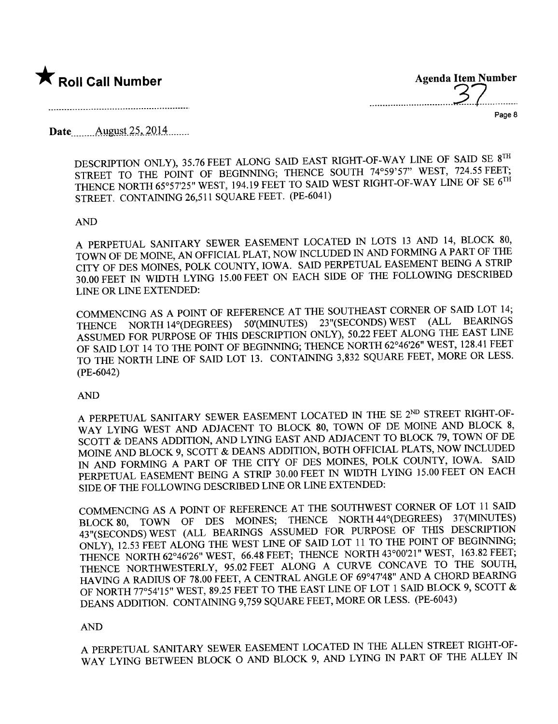

Agenda Item Number ......................... ..3.7... ......

Page 8

Date<sub>.......</sub>... August 25, 2014 .......

----\_...\_....\_.......\_.........................\_---\_.,

DESCRIPTION ONLY), 35.76 FEET ALONG SAID EAST RIGHT-OF-WAY LINE OF SAID SE 8TH STREET TO THE POINT OF BEGINNING; THENCE SOUTH 74°59'57" WEST, 724.55 FEET; THENCE NORTH 65°57'25" WEST, 194.19 FEET TO SAID WEST RIGHT-OF-WAY LINE OF SE 6<sup>TH</sup> STREET. CONTAINING 26,511 SQUARE FEET. (PE-6041)

### AND

A PERPETUAL SANITARY SEWER EASEMENT LOCATED IN LOTS 13 AND 14, BLOCK 80, TOWN OF DE MOINE, AN OFFICIAL PLAT, NOW INCLUDED IN AND FORMING A PART OF THE CITY OF DES MOINES, POLK COUNTY, IOWA. SAID PERPETUAL EASEMENT BEING A STRIP 30.00 FEET IN WIDTH LYING 15.00 FEET ON EACH SIDE OF THE FOLLOWIG DESCRIED LINE OR LINE EXTENDED:

COMMENCING AS A POINT OF REFERENCE AT THE SOUTHEAST CORNER OF SAID LOT 14;<br>
TURNCE NORTH 14% OFGREES) 50 (MINUTES) 23" (SECONDS) WEST (ALL BEARINGS THENCE NORTH 14°(DEGREES) 50'(MINUTES) 23"(SECONDS) WEST ASSUMED FOR PURPOSE OF THIS DESCRIPTION ONLY), 50.22 FEET ALONG THE EAST LINE OF SAID LOT 14 TO THE POINT OF BEGINNING; THENCE NORTH 62°46'26" WEST, 128.41 FEET TO THE NORTH LINE OF SAID LOT 13. CONTAINING 3,832 SQUARE FEET, MORE OR LESS. (PE-6042)

#### AND

A PERPETUAL SANITARY SEWER EASEMENT LOCATED IN THE SE 2ND STREET RIGHT-OF-WAY LYING WEST AND ADJACENT TO BLOCK 80, TOWN OF DE MOINE AND BLOCK 8, SCOTT & DEANS ADDITION, AND LYING EAST AND ADJACENT TO BLOCK 79, TOWN OF DE MOINE AND BLOCK 9, SCOTT & DEANS ADDITION, BOTH OFFICIAL PLATS, NOW INCLUDED IN AND FORMING A PART OF THE CITY OF DES MOINES, POLK COUNTY, IOWA. SAID PERPETUAL EASEMENT BEING A STRIP 30.00 FEET IN WIDTH LYING 15.00 FEET ON EACH SIDE OF THE FOLLOWING DESCRIBED LINE OR LINE EXTENDED:

COMMENCING AS A POINT OF REFERENCE AT THE SOUTHWEST CORNER OF LOT 11 SAID BLOCK 80, TOWN OF DES MOINES; THENCE NORTH 44° (DEGREES) 37' (MINUTES) 43" (SECONDS) WEST (ALL BEARINGS ASSUMED FOR PURPOSE OF THIS DESCRIPTION 43"(SECONDS) WEST (ALL BEARINGS ASSUMED FOR FURTOSE OF THIS DESCRIPTION ONLY), 12.53 FEET ALONG THE WEST LINE OF SAID LOT IT TO THE POINT OF BEGINNING; THENCE NORTH 62°46'26" WEST, 66.48 FEET; THENCE NORTH 43°00'21" WEST, 163.82 FEET; THENCE NORTHWESTERLY, 95.02 FEET ALONG A CURVE CONCAVE TO THE SOUTH, HAVING A RADIUS OF 78.00 FEET, A CENTRAL ANGLE OF 69°47'48" AND A CHORD BEARG OF NORTH 77°54'15" WEST, 89.25 FEET TO THE EAST LINE OF LOT 1 SAID BLOCK 9, SCOTT & DEANS ADDITION. CONTAINING 9,759 SQUARE FEET, MORE OR LESS. (PE-6043)

#### AND

A PERPETUAL SANITARY SEWER EASEMENT LOCATED IN THE ALLEN STREET RIGHT-OF-WAY LYING BETWEEN BLOCK 0 AND BLOCK 9, AND LYING IN PART OF THE ALLEY IN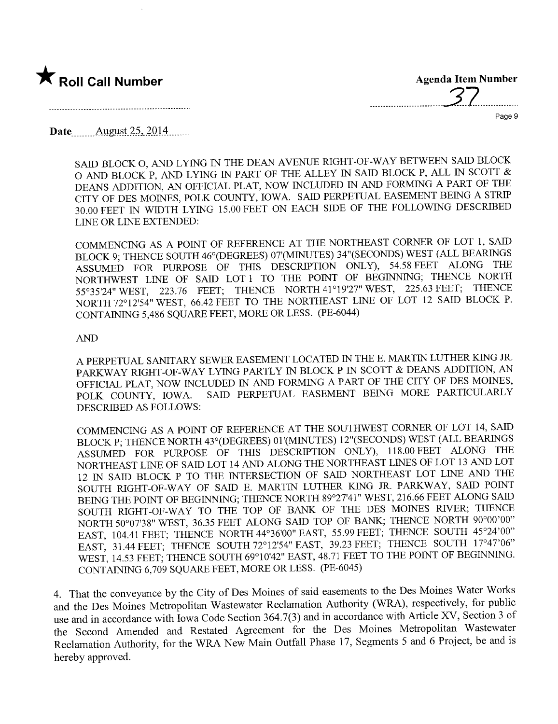

...............................7...............

Page 9

Date<sub>.......</sub> August 25, 2014.......

SAID BLOCK O, AND LYING IN THE DEAN AVENUE RIGHT-OF-WAY BETWEEN SAID BLOCK O AND BLOCK P, AND LYING IN PART OF THE ALLEY IN SAID BLOCK P, ALL IN SCOTT  $\&$ DEANS ADDITION, AN OFFICIAL PLAT, NOW INCLUDED IN AND FORMING A PART OF THE CITY OF DES MOINES, POLK COUNTY, IOWA. SAID PERPETUAL EASEMENT BEING A STRIP 30.00 FEET IN WIDTH LYING 15.00 FEET ON EACH SIDE OF THE FOLLOWIG DESCRIBED LINE OR LINE EXTENDED:

COMMENCING AS A POINT OF REFERENCE AT THE NORTHEAST CORNER OF LOT 1, SAID BLOCK 9; THENCE SOUTH 46° (DEGREES) 07' (MINUTES) 34" (SECONDS) WEST (ALL BEARINGS ASSUMED FOR PURPOSE OF THIS DESCRIPTION ONLY), 54.58 FEET ALONG THE NORTHWEST LINE OF SAID LOT 1 TO THE POINT OF BEGINNING; THENCE NORTH 55°35'24" WEST, 223.76 FEET; THENCE NORTH 41°19'27" WEST, 225.63 FEET; THENCE NORTH 72°12'54" WEST, 66.42 FEET TO THE NORTHEAST LINE OF LOT 12 SAID BLOCK P. CONTAINING 5,486 SQUARE FEET, MORE OR LESS. (PE-6044)

### AN

A PERPETUAL SANTARY SEWER EASEMENT LOCATED IN THE E. MARTIN LUTHER KIG JR. PARWAY RIGHT-OF-WAY LYING PARTLY IN BLOCK P IN SCOTT & DEANS ADDITION, AN OFFICIAL PLAT, NOW INCLUDED IN AND FORMING A PART OF THE CITY OF DES MOINES, POLK COUNTY, IOWA. SAID PERPETUAL EASEMENT BEING MORE PARTICULARLY SAID PERPETUAL EASEMENT BEING MORE PARTICULARLY DESCRIBED AS FOLLOWS:

COMMENCING AS A POINT OF REFERENCE AT THE SOUTHWEST CORNER OF LOT 14, SAI BLOCK P; THENCE NORTH 43° (DEGREES) 01' (MINUTES) 12" (SECONDS) WEST (ALL BEARINGS ASSUMED FOR PURPOSE OF THIS DESCRIPTION ONLY), 118.00 FEET ALONG THE NORTHEAST LINE OF SAID LOT 14 AND ALONG THE NORTHEAST LINES OF LOT 13 AND LOT 12 IN SAID BLOCK P TO THE INTERSECTION OF SAID NORTHEAST LOT LINE AND THE SOUTH RIGHT-OF-WAY OF SAID E. MARTIN LUTHER KING JR. PARKWAY, SAID POINT BEING THE POINT OF BEGINNING; THENCE NORTH 89°27'41" WEST, 216.66 FEET ALONG SAID SOUTH RIGHT-OF-WAY TO THE TOP OF BANK OF THE DES MOINES RIVER; THENCE NORTH 50°07'38" WEST, 36.35 FEET ALONG SAID TOP OF BANK; THENCE NORTH 90°00'00" EAST, 104.41 FEET; THENCE NORTH 44°36'00" EAST, 55.99 FEET; THENCE SOUTH 45°24'00" EAST, 31.44 FEET; THENCE SOUTH 72°12'54" EAST, 39.23 FEET; THENCE SOUTH 17°47'06" WEST, 14.53 FEET; THENCE SOUTH 69°10'42" EAST, 48.71 FEET TO THE POINT OF BEGINNING. CONTAINING 6,709 SQUARE FEET, MORE OR LESS. (PE-6045)

4. That the conveyance by the City of Des Moines of said easements to the Des Moines Water Works and the Des Moines Metropolitan Wastewater Reclamation Authority (WRA), respectively, for public use and in accordance with Iowa Code Section 364.7(3) and in accordance with Article XV, Section 3 of the Second Amended and Restated Agreement for the Des Moines Metropolitan Wastewater Reclamation Authority, for the WRA New Main Outfall Phase 17, Segments 5 and 6 Project, be and is hereby approved.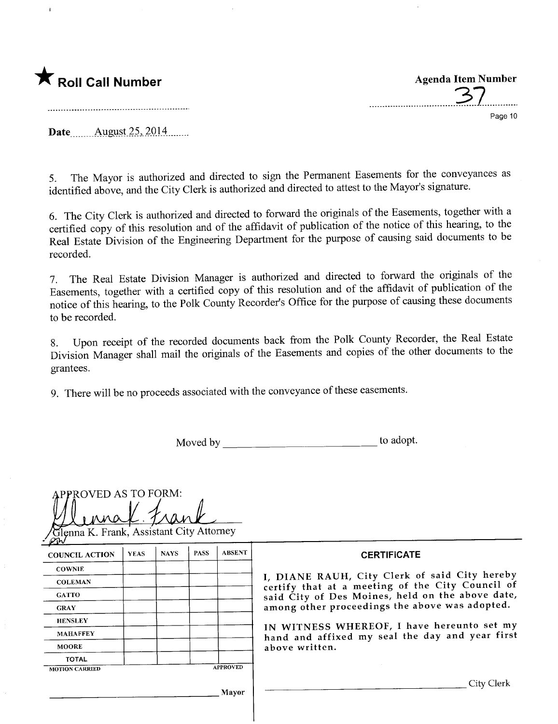

ĝ

.................................3.7...,....,.... Page 10

Date August  $25, 2014$ ........

5. The Mayor is authorized and directed to sign the Permanent Easements for the conveyances as identified above, and the City Clerk is authorized and directed to attest to the Mayor's signature.

6. The City Clerk is authorized and directed to forward the originals of the Easements, together with a certified copy of this resolution and of the affidavit of publication of the notice of this hearing, to the Real Estate Division of the Engineering Department for the purpose of causing said documents to be recorded.

7. The Real Estate Division Manager is authorized and directed to forward the originals of the Easements, together with a certified copy of this resolution and of the affidavit of publication of the notice of this hearng, to the Polk County Recorder's Office for the purpose of causing these documents to be recorded.

8. Upon receipt of the recorded documents back from the Polk County Recorder, the Real Estate Division Manager shall mail the originals of the Easements and copies of the other documents to the grantees.

9. There will be no proceeds associated with the conveyance of these easements.

Moved by to adopt.

| <b>APPROVED AS TO FORM:</b><br>Glenna K. Frank, Assistant City Attorney |             |             |             |                 |                                                                                                   |
|-------------------------------------------------------------------------|-------------|-------------|-------------|-----------------|---------------------------------------------------------------------------------------------------|
| <b>COUNCIL ACTION</b>                                                   | <b>YEAS</b> | <b>NAYS</b> | <b>PASS</b> | <b>ABSENT</b>   | <b>CERTIFICATE</b>                                                                                |
| <b>COWNIE</b>                                                           |             |             |             |                 |                                                                                                   |
| <b>COLEMAN</b>                                                          |             |             |             |                 | I, DIANE RAUH, City Clerk of said City hereby<br>certify that at a meeting of the City Council of |
| <b>GATTO</b>                                                            |             |             |             |                 | said City of Des Moines, held on the above date,                                                  |
| <b>GRAY</b>                                                             |             |             |             |                 | among other proceedings the above was adopted.                                                    |
| <b>HENSLEY</b>                                                          |             |             |             |                 |                                                                                                   |
| <b>MAHAFFEY</b>                                                         |             |             |             |                 | IN WITNESS WHEREOF, I have hereunto set my<br>hand and affixed my seal the day and year first     |
| <b>MOORE</b>                                                            |             |             |             |                 | above written.                                                                                    |
| <b>TOTAL</b>                                                            |             |             |             |                 |                                                                                                   |
| <b>MOTION CARRIED</b>                                                   |             |             |             | <b>APPROVED</b> |                                                                                                   |
|                                                                         |             |             |             | Mayor           | City Clerk                                                                                        |